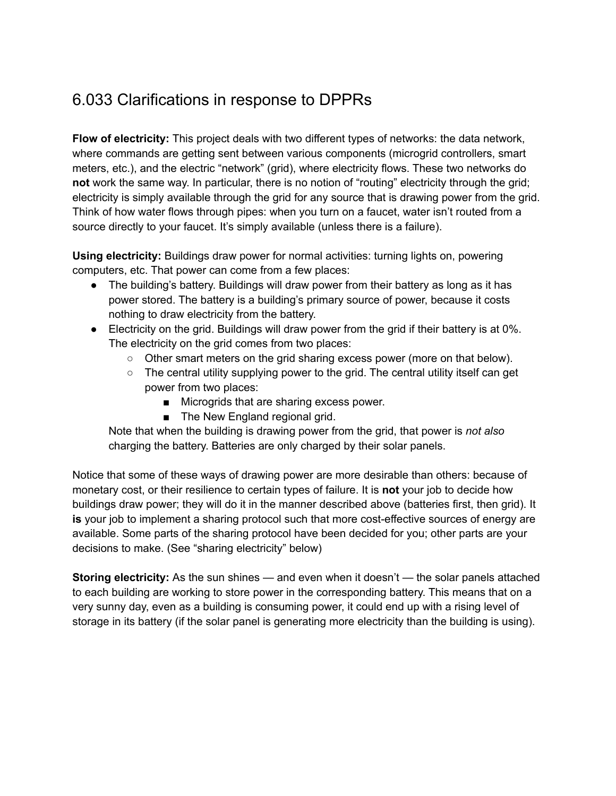## 6.033 Clarifications in response to DPPRs

**Flow of electricity:** This project deals with two different types of networks: the data network, where commands are getting sent between various components (microgrid controllers, smart meters, etc.), and the electric "network" (grid), where electricity flows. These two networks do **not** work the same way. In particular, there is no notion of "routing" electricity through the grid; electricity is simply available through the grid for any source that is drawing power from the grid. Think of how water flows through pipes: when you turn on a faucet, water isn't routed from a source directly to your faucet. It's simply available (unless there is a failure).

**Using electricity:** Buildings draw power for normal activities: turning lights on, powering computers, etc. That power can come from a few places:

- The building's battery. Buildings will draw power from their battery as long as it has power stored. The battery is a building's primary source of power, because it costs nothing to draw electricity from the battery.
- Electricity on the grid. Buildings will draw power from the grid if their battery is at 0%. The electricity on the grid comes from two places:
	- Other smart meters on the grid sharing excess power (more on that below).
	- $\circ$  The central utility supplying power to the grid. The central utility itself can get power from two places:
		- Microgrids that are sharing excess power.
		- The New England regional grid.

Note that when the building is drawing power from the grid, that power is *not also* charging the battery. Batteries are only charged by their solar panels.

Notice that some of these ways of drawing power are more desirable than others: because of monetary cost, or their resilience to certain types of failure. It is **not** your job to decide how buildings draw power; they will do it in the manner described above (batteries first, then grid). It **is** your job to implement a sharing protocol such that more cost-effective sources of energy are available. Some parts of the sharing protocol have been decided for you; other parts are your decisions to make. (See "sharing electricity" below)

**Storing electricity:** As the sun shines — and even when it doesn't — the solar panels attached to each building are working to store power in the corresponding battery. This means that on a very sunny day, even as a building is consuming power, it could end up with a rising level of storage in its battery (if the solar panel is generating more electricity than the building is using).